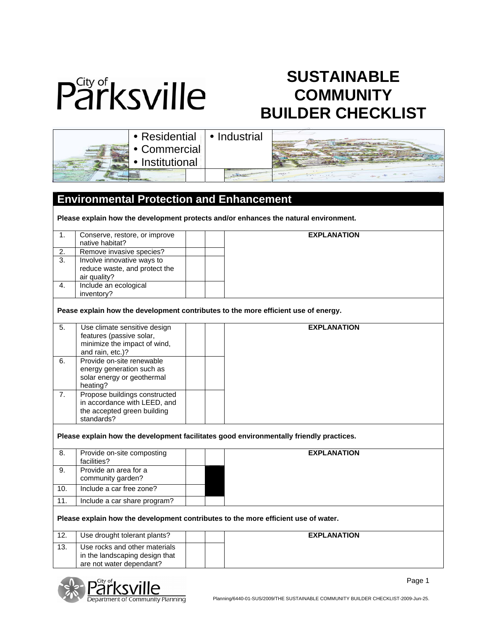

## **SUSTAINABLE COMMUNITY BUILDER CHECKLIST**

| <b>·</b> Residential   • Industrial |  |
|-------------------------------------|--|
| • Commercial                        |  |
| • Institutional                     |  |
|                                     |  |

## **Environmental Protection and Enhancement Please explain how the development protects and/or enhances the natural environment.**  1. Conserve, restore, or improve native habitat? 2. Remove invasive species? 3. Involve innovative ways to reduce waste, and protect the air quality? 4. Include an ecological inventory? **EXPLANATION Pease explain how the development contributes to the more efficient use of energy.**  5. Use climate sensitive design features (passive solar, minimize the impact of wind, and rain, etc.)? 6. Provide on-site renewable energy generation such as solar energy or geothermal heating? 7. Propose buildings constructed in accordance with LEED, and the accepted green building standards? **EXPLANATION Please explain how the development facilitates good environmentally friendly practices.**  8. Provide on-site composting facilities? 9. Provide an area for a community garden? 10. | Include a car free zone? 11. Include a car share program? **EXPLANATION Please explain how the development contributes to the more efficient use of water.**  12. **Use drought tolerant plants?** 13. Use rocks and other materials in the landscaping design that are not water dependant? **EXPLANATION**

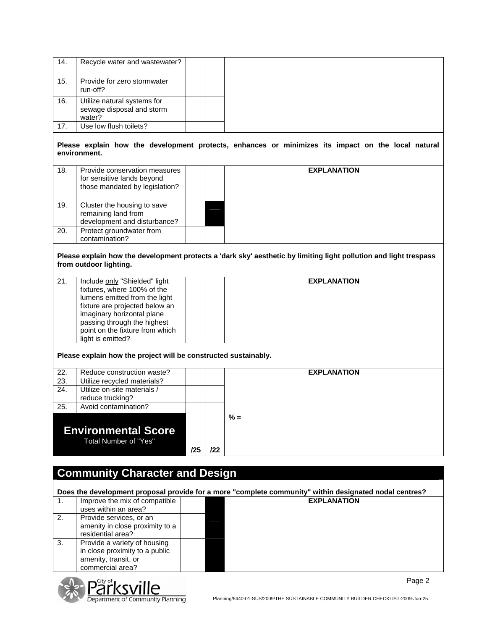| 14. | Recycle water and wastewater?                                                                 |     |     |                                                                                                                   |
|-----|-----------------------------------------------------------------------------------------------|-----|-----|-------------------------------------------------------------------------------------------------------------------|
| 15. | Provide for zero stormwater<br>run-off?                                                       |     |     |                                                                                                                   |
| 16. | Utilize natural systems for                                                                   |     |     |                                                                                                                   |
|     | sewage disposal and storm<br>water?                                                           |     |     |                                                                                                                   |
| 17. | Use low flush toilets?                                                                        |     |     |                                                                                                                   |
|     | environment.                                                                                  |     |     | Please explain how the development protects, enhances or minimizes its impact on the local natural                |
| 18. | Provide conservation measures<br>for sensitive lands beyond<br>those mandated by legislation? |     |     | <b>EXPLANATION</b>                                                                                                |
| 19. | Cluster the housing to save<br>remaining land from                                            |     |     |                                                                                                                   |
| 20. | development and disturbance?<br>Protect groundwater from                                      |     |     |                                                                                                                   |
|     | contamination?                                                                                |     |     |                                                                                                                   |
|     | from outdoor lighting.                                                                        |     |     | Please explain how the development protects a 'dark sky' aesthetic by limiting light pollution and light trespass |
| 21. | Include only "Shielded" light                                                                 |     |     | <b>EXPLANATION</b>                                                                                                |
|     | fixtures, where 100% of the                                                                   |     |     |                                                                                                                   |
|     | lumens emitted from the light<br>fixture are projected below an                               |     |     |                                                                                                                   |
|     | imaginary horizontal plane                                                                    |     |     |                                                                                                                   |
|     | passing through the highest                                                                   |     |     |                                                                                                                   |
|     | point on the fixture from which                                                               |     |     |                                                                                                                   |
|     | light is emitted?                                                                             |     |     |                                                                                                                   |
|     | Please explain how the project will be constructed sustainably.                               |     |     |                                                                                                                   |
| 22. | Reduce construction waste?                                                                    |     |     | <b>EXPLANATION</b>                                                                                                |
| 23. | Utilize recycled materials?                                                                   |     |     |                                                                                                                   |
| 24. | Utilize on-site materials /                                                                   |     |     |                                                                                                                   |
|     | reduce trucking?                                                                              |     |     |                                                                                                                   |
| 25. | Avoid contamination?                                                                          |     |     |                                                                                                                   |
|     | <b>Environmental Score</b><br>Total Number of "Yes"                                           |     |     | $% =$                                                                                                             |
|     |                                                                                               | /25 | 122 |                                                                                                                   |
|     |                                                                                               |     |     |                                                                                                                   |
|     | <b>Community Character and Design</b>                                                         |     |     |                                                                                                                   |
|     |                                                                                               |     |     |                                                                                                                   |
|     |                                                                                               |     |     | Does the development proposal provide for a more "complete community" within designated nodal centres?            |
| 1.  | Improve the mix of compatible                                                                 |     |     | <b>EXPLANATION</b>                                                                                                |
|     | uses within an area?                                                                          |     |     |                                                                                                                   |
| 2.  | Provide services, or an                                                                       |     |     |                                                                                                                   |
|     | amenity in close proximity to a<br>residential area?                                          |     |     |                                                                                                                   |
| 3.  | Provide a variety of housing                                                                  |     |     |                                                                                                                   |
|     | in close proximity to a public                                                                |     |     |                                                                                                                   |
|     | amenity, transit, or                                                                          |     |     |                                                                                                                   |
|     | commercial area?                                                                              |     |     |                                                                                                                   |

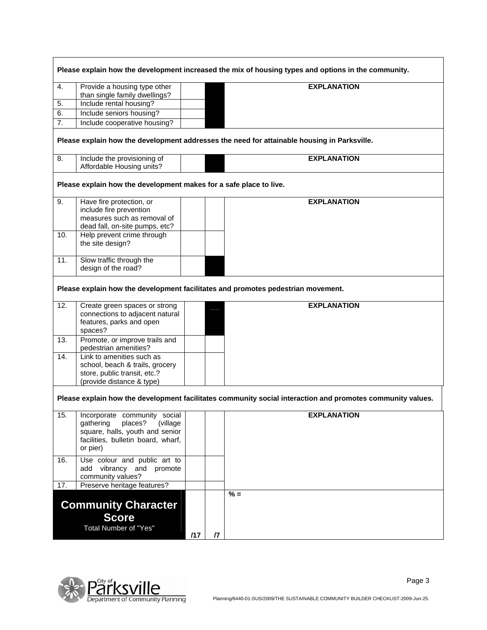|                  |                                                                    |     |                | Please explain how the development increased the mix of housing types and options in the community.        |
|------------------|--------------------------------------------------------------------|-----|----------------|------------------------------------------------------------------------------------------------------------|
| 4.               | Provide a housing type other                                       |     |                | <b>EXPLANATION</b>                                                                                         |
| 5.               | than single family dwellings?<br>Include rental housing?           |     |                |                                                                                                            |
| 6.               | Include seniors housing?                                           |     |                |                                                                                                            |
|                  |                                                                    |     |                |                                                                                                            |
| $\overline{7}$ . | Include cooperative housing?                                       |     |                |                                                                                                            |
|                  |                                                                    |     |                | Please explain how the development addresses the need for attainable housing in Parksville.                |
| 8.               | Include the provisioning of<br>Affordable Housing units?           |     |                | <b>EXPLANATION</b>                                                                                         |
|                  | Please explain how the development makes for a safe place to live. |     |                |                                                                                                            |
| 9.               | Have fire protection, or                                           |     |                | <b>EXPLANATION</b>                                                                                         |
|                  | include fire prevention                                            |     |                |                                                                                                            |
|                  | measures such as removal of                                        |     |                |                                                                                                            |
|                  | dead fall, on-site pumps, etc?                                     |     |                |                                                                                                            |
| 10.              | Help prevent crime through                                         |     |                |                                                                                                            |
|                  | the site design?                                                   |     |                |                                                                                                            |
| 11.              | Slow traffic through the                                           |     |                |                                                                                                            |
|                  | design of the road?                                                |     |                |                                                                                                            |
| 12.              | Create green spaces or strong<br>connections to adjacent natural   |     |                | Please explain how the development facilitates and promotes pedestrian movement.<br><b>EXPLANATION</b>     |
|                  | features, parks and open<br>spaces?                                |     |                |                                                                                                            |
| 13.              | Promote, or improve trails and<br>pedestrian amenities?            |     |                |                                                                                                            |
| 14.              | Link to amenities such as                                          |     |                |                                                                                                            |
|                  | school, beach & trails, grocery                                    |     |                |                                                                                                            |
|                  | store, public transit, etc.?                                       |     |                |                                                                                                            |
|                  | (provide distance & type)                                          |     |                |                                                                                                            |
|                  |                                                                    |     |                | Please explain how the development facilitates community social interaction and promotes community values. |
| 15.              | Incorporate community social                                       |     |                | <b>EXPLANATION</b>                                                                                         |
|                  | places?<br>gathering<br>(village)                                  |     |                |                                                                                                            |
|                  | square, halls, youth and senior                                    |     |                |                                                                                                            |
|                  | facilities, bulletin board, wharf,                                 |     |                |                                                                                                            |
|                  | or pier)                                                           |     |                |                                                                                                            |
| 16.              | Use colour and public art to                                       |     |                |                                                                                                            |
|                  | add vibrancy and promote                                           |     |                |                                                                                                            |
|                  | community values?                                                  |     |                |                                                                                                            |
| 17.              | Preserve heritage features?                                        |     |                |                                                                                                            |
|                  | <b>Community Character</b>                                         |     |                | $% =$                                                                                                      |
|                  | <b>Score</b>                                                       |     |                |                                                                                                            |
|                  | Total Number of "Yes"                                              |     |                |                                                                                                            |
|                  |                                                                    | /17 | $\overline{a}$ |                                                                                                            |



Page 3